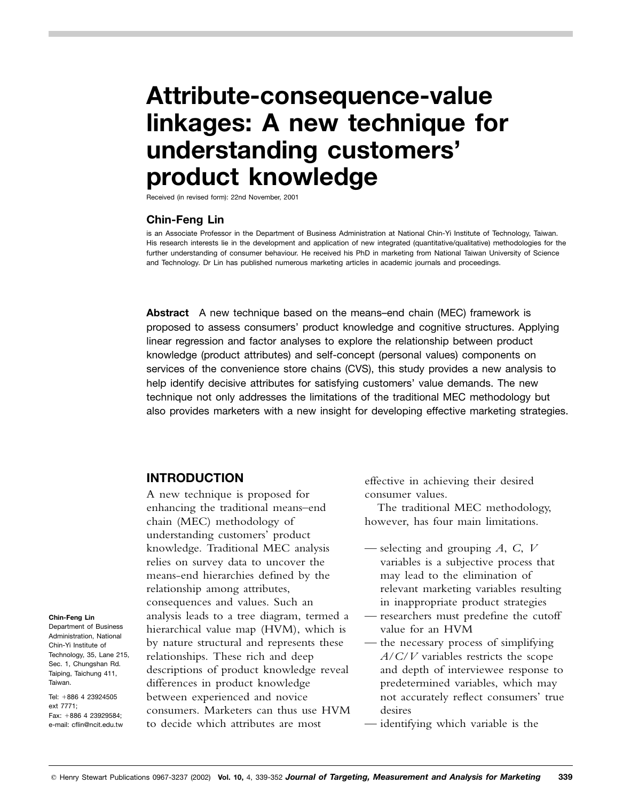# **Attribute-consequence-value linkages: A new technique for understanding customers' product knowledge**

Received (in revised form): 22nd November, 2001

## **Chin-Feng Lin**

is an Associate Professor in the Department of Business Administration at National Chin-Yi Institute of Technology, Taiwan. His research interests lie in the development and application of new integrated (quantitative/qualitative) methodologies for the further understanding of consumer behaviour. He received his PhD in marketing from National Taiwan University of Science and Technology. Dr Lin has published numerous marketing articles in academic journals and proceedings.

**Abstract** A new technique based on the means–end chain (MEC) framework is proposed to assess consumers' product knowledge and cognitive structures. Applying linear regression and factor analyses to explore the relationship between product knowledge (product attributes) and self-concept (personal values) components on services of the convenience store chains (CVS), this study provides a new analysis to help identify decisive attributes for satisfying customers' value demands. The new technique not only addresses the limitations of the traditional MEC methodology but also provides marketers with a new insight for developing effective marketing strategies.

## **INTRODUCTION**

A new technique is proposed for enhancing the traditional means–end chain (MEC) methodology of understanding customers' product knowledge. Traditional MEC analysis relies on survey data to uncover the means-end hierarchies defined by the relationship among attributes, consequences and values. Such an analysis leads to a tree diagram, termed a hierarchical value map (HVM), which is by nature structural and represents these relationships. These rich and deep descriptions of product knowledge reveal differences in product knowledge between experienced and novice consumers. Marketers can thus use HVM to decide which attributes are most

effective in achieving their desired consumer values.

The traditional MEC methodology, however, has four main limitations.

- selecting and grouping *A*, *C*, *V* variables is a subjective process that may lead to the elimination of relevant marketing variables resulting in inappropriate product strategies
- researchers must predefine the cutoff value for an HVM
- the necessary process of simplifying *A*/*C*/*V* variables restricts the scope and depth of interviewee response to predetermined variables, which may not accurately reflect consumers' true desires
- identifying which variable is the

#### **Chin-Feng Lin**

Department of Business Administration, National Chin-Yi Institute of Technology, 35, Lane 215, Sec. 1, Chungshan Rd. Taiping, Taichung 411, Taiwan.

Tel: +886 4 23924505 ext 7771; Fax: +886 4 23929584: e-mail: cflin@ncit.edu.tw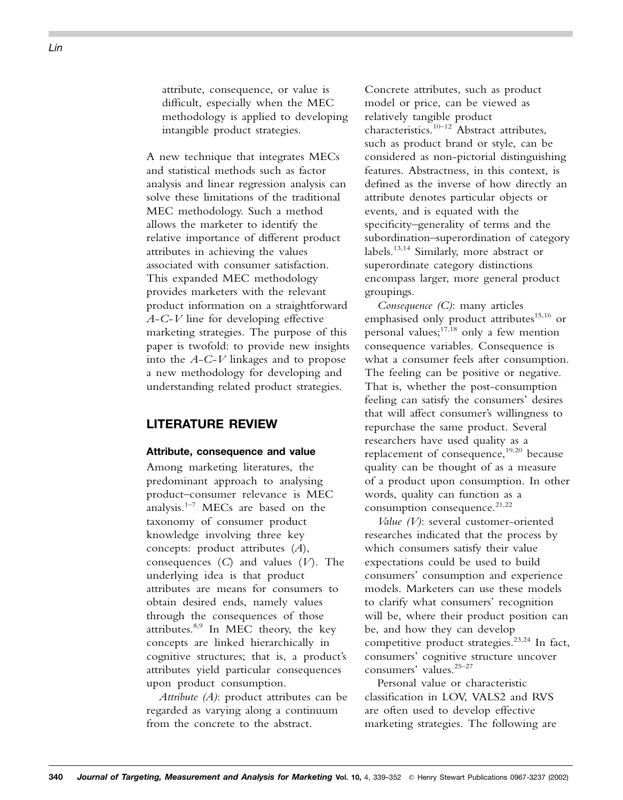attribute, consequence, or value is difficult, especially when the MEC methodology is applied to developing intangible product strategies.

A new technique that integrates MECs and statistical methods such as factor analysis and linear regression analysis can solve these limitations of the traditional MEC methodology. Such a method allows the marketer to identify the relative importance of different product attributes in achieving the values associated with consumer satisfaction. This expanded MEC methodology provides marketers with the relevant product information on a straightforward *A*-*C*-*V* line for developing effective marketing strategies. The purpose of this paper is twofold: to provide new insights into the *A*-*C*-*V* linkages and to propose a new methodology for developing and understanding related product strategies.

# **LITERATURE REVIEW**

#### **Attribute, consequence and value**

Among marketing literatures, the predominant approach to analysing product–consumer relevance is MEC analysis.<sup>1-7</sup> MECs are based on the taxonomy of consumer product knowledge involving three key concepts: product attributes (*A*), consequences (*C*) and values (*V*). The underlying idea is that product attributes are means for consumers to obtain desired ends, namely values through the consequences of those attributes.<sup>8,9</sup> In MEC theory, the key concepts are linked hierarchically in cognitive structures; that is, a product's attributes yield particular consequences upon product consumption.

*Attribute (A)*: product attributes can be regarded as varying along a continuum from the concrete to the abstract.

Concrete attributes, such as product model or price, can be viewed as relatively tangible product characteristics.<sup>10–12</sup> Abstract attributes, such as product brand or style, can be considered as non-pictorial distinguishing features. Abstractness, in this context, is defined as the inverse of how directly an attribute denotes particular objects or events, and is equated with the specificity–generality of terms and the subordination–superordination of category labels.13,14 Similarly, more abstract or superordinate category distinctions encompass larger, more general product groupings.

*Consequence (C)*: many articles emphasised only product attributes<sup>15,16</sup> or personal values; $^{17,18}$  only a few mention consequence variables. Consequence is what a consumer feels after consumption. The feeling can be positive or negative. That is, whether the post-consumption feeling can satisfy the consumers' desires that will affect consumer's willingness to repurchase the same product. Several researchers have used quality as a replacement of consequence, $19,20$  because quality can be thought of as a measure of a product upon consumption. In other words, quality can function as a consumption consequence.<sup>21,22</sup>

*Value (V)*: several customer-oriented researches indicated that the process by which consumers satisfy their value expectations could be used to build consumers' consumption and experience models. Marketers can use these models to clarify what consumers' recognition will be, where their product position can be, and how they can develop competitive product strategies.<sup>23,24</sup> In fact, consumers' cognitive structure uncover consumers' values.25–27

Personal value or characteristic classification in LOV, VALS2 and RVS are often used to develop effective marketing strategies. The following are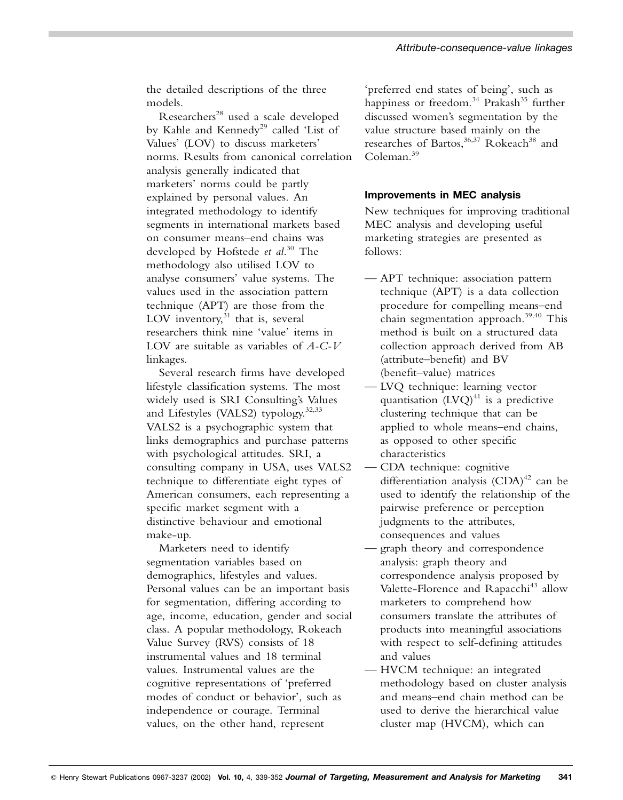the detailed descriptions of the three models.

Researchers<sup>28</sup> used a scale developed by Kahle and Kennedy<sup>29</sup> called 'List of Values' (LOV) to discuss marketers' norms. Results from canonical correlation analysis generally indicated that marketers' norms could be partly explained by personal values. An integrated methodology to identify segments in international markets based on consumer means–end chains was developed by Hofstede *et al*. <sup>30</sup> The methodology also utilised LOV to analyse consumers' value systems. The values used in the association pattern technique (APT) are those from the LOV inventory, $31$  that is, several researchers think nine 'value' items in LOV are suitable as variables of *A-C-V* linkages.

Several research firms have developed lifestyle classification systems. The most widely used is SRI Consulting's Values and Lifestyles (VALS2) typology.<sup>32,33</sup> VALS2 is a psychographic system that links demographics and purchase patterns with psychological attitudes. SRI, a consulting company in USA, uses VALS2 technique to differentiate eight types of American consumers, each representing a specific market segment with a distinctive behaviour and emotional make-up.

Marketers need to identify segmentation variables based on demographics, lifestyles and values. Personal values can be an important basis for segmentation, differing according to age, income, education, gender and social class. A popular methodology, Rokeach Value Survey (RVS) consists of 18 instrumental values and 18 terminal values. Instrumental values are the cognitive representations of 'preferred modes of conduct or behavior', such as independence or courage. Terminal values, on the other hand, represent

'preferred end states of being', such as happiness or freedom. $34$  Prakash $35$  further discussed women's segmentation by the value structure based mainly on the researches of Bartos,<sup>36,37</sup> Rokeach<sup>38</sup> and Coleman<sup>39</sup>

## **Improvements in MEC analysis**

New techniques for improving traditional MEC analysis and developing useful marketing strategies are presented as follows:

- APT technique: association pattern technique (APT) is a data collection procedure for compelling means–end chain segmentation approach.39,40 This method is built on a structured data collection approach derived from AB (attribute–benefit) and BV (benefit–value) matrices
- LVQ technique: learning vector quantisation  $(LVQ)^{41}$  is a predictive clustering technique that can be applied to whole means–end chains, as opposed to other specific characteristics
- CDA technique: cognitive differentiation analysis  $(CDA)^{42}$  can be used to identify the relationship of the pairwise preference or perception judgments to the attributes, consequences and values
	- graph theory and correspondence analysis: graph theory and correspondence analysis proposed by Valette-Florence and Rapacchi<sup>43</sup> allow marketers to comprehend how consumers translate the attributes of products into meaningful associations with respect to self-defining attitudes and values
	- HVCM technique: an integrated methodology based on cluster analysis and means–end chain method can be used to derive the hierarchical value cluster map (HVCM), which can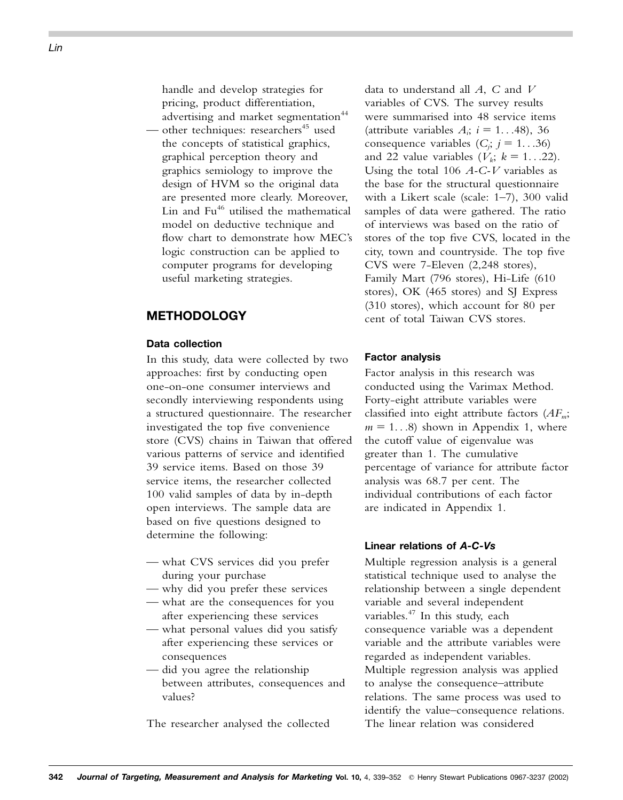handle and develop strategies for pricing, product differentiation, advertising and market segmentation<sup>44</sup>

other techniques: researchers<sup>45</sup> used the concepts of statistical graphics, graphical perception theory and graphics semiology to improve the design of HVM so the original data are presented more clearly. Moreover, Lin and Fu<sup>46</sup> utilised the mathematical model on deductive technique and flow chart to demonstrate how MEC's logic construction can be applied to computer programs for developing useful marketing strategies.

# **METHODOLOGY**

#### **Data collection**

In this study, data were collected by two approaches: first by conducting open one-on-one consumer interviews and secondly interviewing respondents using a structured questionnaire. The researcher investigated the top five convenience store (CVS) chains in Taiwan that offered various patterns of service and identified 39 service items. Based on those 39 service items, the researcher collected 100 valid samples of data by in-depth open interviews. The sample data are based on five questions designed to determine the following:

- what CVS services did you prefer during your purchase
- why did you prefer these services
- what are the consequences for you after experiencing these services
- what personal values did you satisfy after experiencing these services or consequences
- did you agree the relationship between attributes, consequences and values?

The researcher analysed the collected

data to understand all *A*, *C* and *V* variables of CVS. The survey results were summarised into 48 service items (attribute variables  $A_i$ ;  $i = 1...48$ ), 36 consequence variables  $(C_j; j = 1...36)$ and 22 value variables  $(V_k; k = 1...22)$ . Using the total 106 *A-C-V* variables as the base for the structural questionnaire with a Likert scale (scale: 1–7), 300 valid samples of data were gathered. The ratio of interviews was based on the ratio of stores of the top five CVS, located in the city, town and countryside. The top five CVS were 7-Eleven (2,248 stores), Family Mart (796 stores), Hi-Life (610 stores), OK (465 stores) and SJ Express (310 stores), which account for 80 per cent of total Taiwan CVS stores.

#### **Factor analysis**

Factor analysis in this research was conducted using the Varimax Method. Forty-eight attribute variables were classified into eight attribute factors (*AFm*;  $m = 1...8$ ) shown in Appendix 1, where the cutoff value of eigenvalue was greater than 1. The cumulative percentage of variance for attribute factor analysis was 68.7 per cent. The individual contributions of each factor are indicated in Appendix 1.

#### **Linear relations of** *A-C-Vs*

Multiple regression analysis is a general statistical technique used to analyse the relationship between a single dependent variable and several independent variables.<sup>47</sup> In this study, each consequence variable was a dependent variable and the attribute variables were regarded as independent variables. Multiple regression analysis was applied to analyse the consequence–attribute relations. The same process was used to identify the value–consequence relations. The linear relation was considered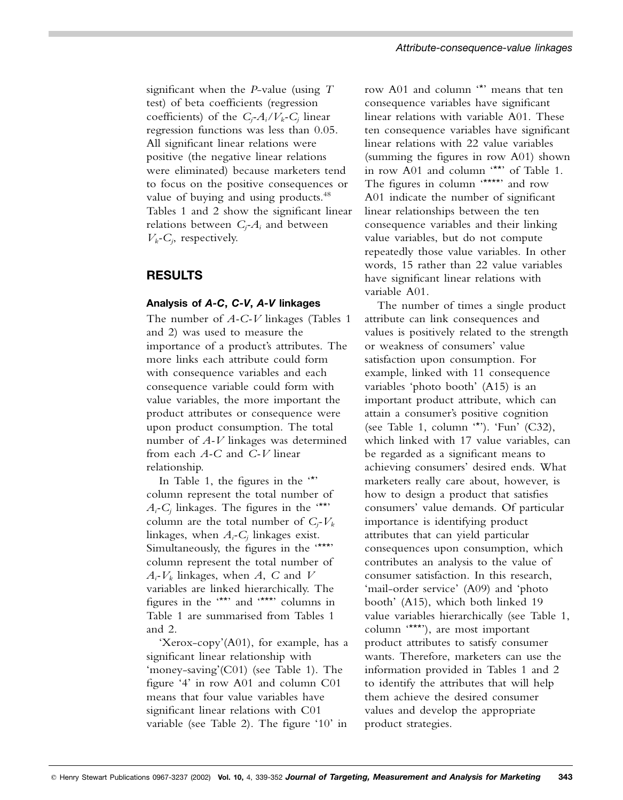significant when the *P*-value (using *T* test) of beta coefficients (regression coefficients) of the  $C_j$ - $A_i$ / $V_k$ - $C_j$  linear regression functions was less than 0.05. All significant linear relations were positive (the negative linear relations were eliminated) because marketers tend to focus on the positive consequences or value of buying and using products.<sup>48</sup> Tables 1 and 2 show the significant linear relations between *Cj -Ai* and between  $V_k$ - $C_j$ , respectively.

# **RESULTS**

## **Analysis of** *A-C***,** *C-V***,** *A-V* **linkages**

The number of *A-C-V* linkages (Tables 1 and 2) was used to measure the importance of a product's attributes. The more links each attribute could form with consequence variables and each consequence variable could form with value variables, the more important the product attributes or consequence were upon product consumption. The total number of *A-V* linkages was determined from each *A-C* and *C-V* linear relationship.

In Table 1, the figures in the '\*' column represent the total number of  $A_i$ - $C_j$  linkages. The figures in the  $'$ \*\*' column are the total number of  $C_j$ - $V_k$ linkages, when *Ai -Cj* linkages exist. Simultaneously, the figures in the '\*\*\*' column represent the total number of *Ai -Vk* linkages, when *A*, *C* and *V* variables are linked hierarchically. The figures in the '\*\*' and '\*\*\*' columns in Table 1 are summarised from Tables 1 and 2.

'Xerox-copy'(A01), for example, has a significant linear relationship with 'money-saving'(C01) (see Table 1). The figure '4' in row A01 and column C01 means that four value variables have significant linear relations with C01 variable (see Table 2). The figure '10' in

row A01 and column '\*' means that ten consequence variables have significant linear relations with variable A01. These ten consequence variables have significant linear relations with 22 value variables (summing the figures in row A01) shown in row A01 and column '\*\*' of Table 1. The figures in column "\*\*\*\*" and row A01 indicate the number of significant linear relationships between the ten consequence variables and their linking value variables, but do not compute repeatedly those value variables. In other words, 15 rather than 22 value variables have significant linear relations with variable A01.

The number of times a single product attribute can link consequences and values is positively related to the strength or weakness of consumers' value satisfaction upon consumption. For example, linked with 11 consequence variables 'photo booth' (A15) is an important product attribute, which can attain a consumer's positive cognition (see Table 1, column '\*'). 'Fun' (C32), which linked with 17 value variables, can be regarded as a significant means to achieving consumers' desired ends. What marketers really care about, however, is how to design a product that satisfies consumers' value demands. Of particular importance is identifying product attributes that can yield particular consequences upon consumption, which contributes an analysis to the value of consumer satisfaction. In this research, 'mail-order service' (A09) and 'photo booth' (A15), which both linked 19 value variables hierarchically (see Table 1, column '\*\*\*'), are most important product attributes to satisfy consumer wants. Therefore, marketers can use the information provided in Tables 1 and 2 to identify the attributes that will help them achieve the desired consumer values and develop the appropriate product strategies.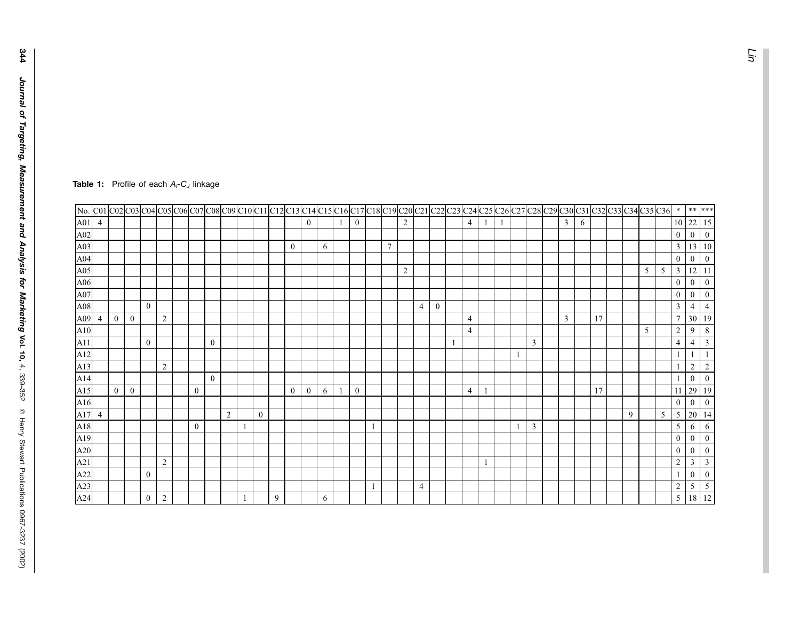|     |                |                |              |                |                |                  |                  |                |                |   |                  |                  |            |   |              |    |                |                |                |                  |   |                |    |   |   |                |   |    |   |   | No. C01 C02 C03 C04 C05 C06 C07 C08 C09 C10 C11 C12 C13 C14 C15 C16 C17 C18 C19 C20 C21 C22 C23 C24 C25 C26 C27 C28 C29 C30 C31 C32 C33 C34 C35 C36 | $\ast$          | $***$            | ***              |
|-----|----------------|----------------|--------------|----------------|----------------|------------------|------------------|----------------|----------------|---|------------------|------------------|------------|---|--------------|----|----------------|----------------|----------------|------------------|---|----------------|----|---|---|----------------|---|----|---|---|-----------------------------------------------------------------------------------------------------------------------------------------------------|-----------------|------------------|------------------|
| A01 | $\overline{4}$ |                |              |                |                |                  |                  |                |                |   |                  | $\boldsymbol{0}$ |            | 1 | $\mathbf{0}$ |    |                | 2              |                |                  |   | $\overline{4}$ | -1 | 1 |   | $\mathbf{3}$   | 6 |    |   |   |                                                                                                                                                     | 10              | 22               | 15               |
| A02 |                |                |              |                |                |                  |                  |                |                |   |                  |                  |            |   |              |    |                |                |                |                  |   |                |    |   |   |                |   |    |   |   |                                                                                                                                                     | $\bf{0}$        | $\boldsymbol{0}$ | $\bf{0}$         |
| A03 |                |                |              |                |                |                  |                  |                |                |   | $\boldsymbol{0}$ |                  | 6          |   |              |    | $\overline{7}$ |                |                |                  |   |                |    |   |   |                |   |    |   |   |                                                                                                                                                     | $\mathbf{3}$    | 13               | 10               |
| A04 |                |                |              |                |                |                  |                  |                |                |   |                  |                  |            |   |              |    |                |                |                |                  |   |                |    |   |   |                |   |    |   |   |                                                                                                                                                     | $\bf{0}$        | $\boldsymbol{0}$ | $\bf{0}$         |
| A05 |                |                |              |                |                |                  |                  |                |                |   |                  |                  |            |   |              |    |                | $\overline{2}$ |                |                  |   |                |    |   |   |                |   |    |   | 5 | 5                                                                                                                                                   | $\mathfrak{Z}$  | 12               | 11               |
| A06 |                |                |              |                |                |                  |                  |                |                |   |                  |                  |            |   |              |    |                |                |                |                  |   |                |    |   |   |                |   |    |   |   |                                                                                                                                                     | $\bf{0}$        | $\boldsymbol{0}$ | $\mathbf{0}$     |
| A07 |                |                |              |                |                |                  |                  |                |                |   |                  |                  |            |   |              |    |                |                |                |                  |   |                |    |   |   |                |   |    |   |   |                                                                                                                                                     | $\bf{0}$        | $\mathbf{0}$     | $\mathbf{0}$     |
| A08 |                |                |              | $\mathbf{0}$   |                |                  |                  |                |                |   |                  |                  |            |   |              |    |                |                | $\overline{4}$ | $\boldsymbol{0}$ |   |                |    |   |   |                |   |    |   |   |                                                                                                                                                     | $\mathfrak{Z}$  | 4                | $\overline{4}$   |
| A09 | $\overline{4}$ | $\mathbf{0}$   | $\mathbf{0}$ |                | 2              |                  |                  |                |                |   |                  |                  |            |   |              |    |                |                |                |                  |   | $\overline{4}$ |    |   |   | $\overline{3}$ |   | 17 |   |   |                                                                                                                                                     | $7\phantom{.0}$ | 30               | <sup>19</sup>    |
| A10 |                |                |              |                |                |                  |                  |                |                |   |                  |                  |            |   |              |    |                |                |                |                  |   | $\overline{4}$ |    |   |   |                |   |    |   | 5 |                                                                                                                                                     | $\sqrt{2}$      | 9                | 8                |
| A11 |                |                |              | $\overline{0}$ |                |                  | $\boldsymbol{0}$ |                |                |   |                  |                  |            |   |              |    |                |                |                |                  | 1 |                |    |   | 3 |                |   |    |   |   |                                                                                                                                                     | $\overline{4}$  | 4                | $\mathbf{3}$     |
| A12 |                |                |              |                |                |                  |                  |                |                |   |                  |                  |            |   |              |    |                |                |                |                  |   |                |    |   |   |                |   |    |   |   |                                                                                                                                                     | $\mathbf{1}$    |                  |                  |
| A13 |                |                |              |                | $\overline{2}$ |                  |                  |                |                |   |                  |                  |            |   |              |    |                |                |                |                  |   |                |    |   |   |                |   |    |   |   |                                                                                                                                                     |                 | 2                | $\overline{2}$   |
| A14 |                |                |              |                |                |                  | $\overline{0}$   |                |                |   |                  |                  |            |   |              |    |                |                |                |                  |   |                |    |   |   |                |   |    |   |   |                                                                                                                                                     |                 | $\boldsymbol{0}$ | $\overline{0}$   |
| A15 |                | $\overline{0}$ | $\bf{0}$     |                |                | $\bf{0}$         |                  |                |                |   | $\overline{0}$   | $\boldsymbol{0}$ | 6          |   | $\mathbf{0}$ |    |                |                |                |                  |   | $\overline{4}$ | -1 |   |   |                |   | 17 |   |   |                                                                                                                                                     | 11              | 29               | 19               |
| A16 |                |                |              |                |                |                  |                  |                |                |   |                  |                  |            |   |              |    |                |                |                |                  |   |                |    |   |   |                |   |    |   |   |                                                                                                                                                     | $\bf{0}$        | $\boldsymbol{0}$ | $\bf{0}$         |
| A17 | $\overline{4}$ |                |              |                |                |                  |                  | $\overline{2}$ | $\overline{0}$ |   |                  |                  |            |   |              |    |                |                |                |                  |   |                |    |   |   |                |   |    | 9 |   | 5                                                                                                                                                   | $\mathfrak{S}$  | 20               | 14               |
| A18 |                |                |              |                |                | $\boldsymbol{0}$ |                  |                |                |   |                  |                  |            |   |              |    |                |                |                |                  |   |                |    |   | 3 |                |   |    |   |   |                                                                                                                                                     | 5               | 6                | 6                |
| A19 |                |                |              |                |                |                  |                  |                |                |   |                  |                  |            |   |              |    |                |                |                |                  |   |                |    |   |   |                |   |    |   |   |                                                                                                                                                     | $\bf{0}$        | $\overline{0}$   | $\mathbf{0}$     |
| A20 |                |                |              |                |                |                  |                  |                |                |   |                  |                  |            |   |              |    |                |                |                |                  |   |                |    |   |   |                |   |    |   |   |                                                                                                                                                     | $\bf{0}$        | $\theta$         | $\bf{0}$         |
| A21 |                |                |              |                | 2              |                  |                  |                |                |   |                  |                  |            |   |              |    |                |                |                |                  |   |                |    |   |   |                |   |    |   |   |                                                                                                                                                     | $\overline{c}$  | 3                | $\overline{3}$   |
| A22 |                |                |              | $\overline{0}$ |                |                  |                  |                |                |   |                  |                  |            |   |              |    |                |                |                |                  |   |                |    |   |   |                |   |    |   |   |                                                                                                                                                     |                 | $\boldsymbol{0}$ | $\boldsymbol{0}$ |
| A23 |                |                |              |                |                |                  |                  |                |                |   |                  |                  |            |   |              | -1 |                |                | $\overline{4}$ |                  |   |                |    |   |   |                |   |    |   |   |                                                                                                                                                     | $\overline{c}$  | 5                | $\sqrt{5}$       |
| A24 |                |                |              | $\bf{0}$       | 2              |                  |                  |                |                | 9 |                  |                  | $\sqrt{6}$ |   |              |    |                |                |                |                  |   |                |    |   |   |                |   |    |   |   |                                                                                                                                                     | 5 <sup>5</sup>  | $18\,$ $12$      |                  |

#### **Table 1:** Profile of each  $A_i$ -C<sub>J</sub> linkage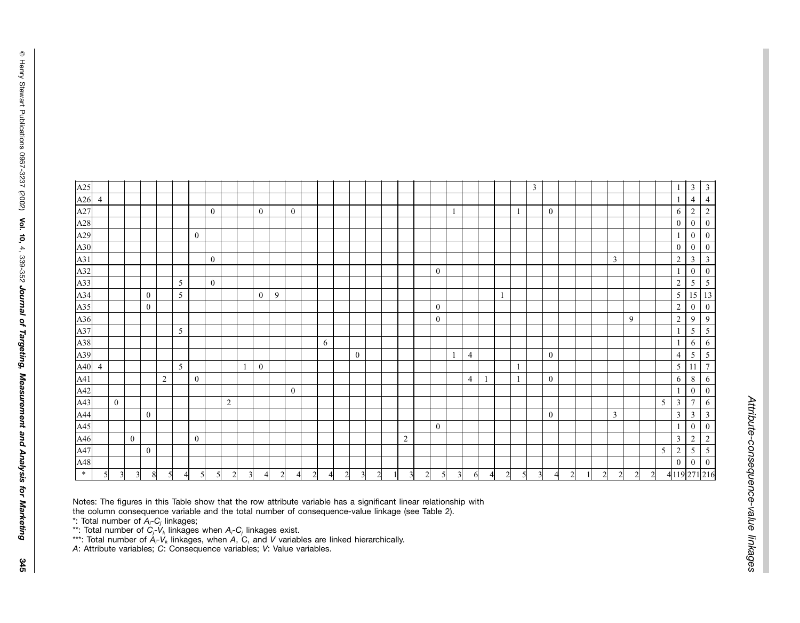Ô

Henry Stewart

| A25                                                                |                |                |                |              |                |   |                  |                  |                |   |              |                |                  |               |   |                |          |                |                |                |                  |              |                |          |                |   | 3              |                  |                |               |                |                |   |   | 1                | $\mathbf{3}$                      | $\overline{3}$          |
|--------------------------------------------------------------------|----------------|----------------|----------------|--------------|----------------|---|------------------|------------------|----------------|---|--------------|----------------|------------------|---------------|---|----------------|----------|----------------|----------------|----------------|------------------|--------------|----------------|----------|----------------|---|----------------|------------------|----------------|---------------|----------------|----------------|---|---|------------------|-----------------------------------|-------------------------|
| A26                                                                | $\overline{4}$ |                |                |              |                |   |                  |                  |                |   |              |                |                  |               |   |                |          |                |                |                |                  |              |                |          |                |   |                |                  |                |               |                |                |   |   |                  | $\overline{4}$                    | $\overline{4}$          |
|                                                                    |                |                |                |              |                |   |                  | $\mathbf{0}$     |                |   | $\mathbf{0}$ |                | $\boldsymbol{0}$ |               |   |                |          |                |                |                |                  | $\mathbf{1}$ |                |          |                | 1 |                | $\boldsymbol{0}$ |                |               |                |                |   |   | 6                | $\overline{2}$                    | $\overline{2}$          |
| $\frac{\text{A27}}{\text{A28}}$                                    |                |                |                |              |                |   |                  |                  |                |   |              |                |                  |               |   |                |          |                |                |                |                  |              |                |          |                |   |                |                  |                |               |                |                |   |   | $\boldsymbol{0}$ | $\overline{0}$                    | $\boldsymbol{0}$        |
|                                                                    |                |                |                |              |                |   | $\mathbf{0}$     |                  |                |   |              |                |                  |               |   |                |          |                |                |                |                  |              |                |          |                |   |                |                  |                |               |                |                |   |   | $\mathbf{1}$     | $\overline{0}$                    | $\bf{0}$                |
|                                                                    |                |                |                |              |                |   |                  |                  |                |   |              |                |                  |               |   |                |          |                |                |                |                  |              |                |          |                |   |                |                  |                |               |                |                |   |   | $\bf{0}$         | $\overline{0}$                    | $\bf{0}$                |
| $\frac{\text{A29}}{\text{A30}}$<br>$\frac{\text{A30}}{\text{A31}}$ |                |                |                |              |                |   |                  | $\mathbf{0}$     |                |   |              |                |                  |               |   |                |          |                |                |                |                  |              |                |          |                |   |                |                  |                |               | 3              |                |   |   | $\sqrt{2}$       | $\mathbf{3}$                      | $\overline{\mathbf{3}}$ |
| $\frac{\text{A32}}{\text{A33}}$                                    |                |                |                |              |                |   |                  |                  |                |   |              |                |                  |               |   |                |          |                |                |                | $\bf{0}$         |              |                |          |                |   |                |                  |                |               |                |                |   |   | $\mathbf{1}$     | $\mathbf{0}$                      | $\bf{0}$                |
|                                                                    |                |                |                |              |                | 5 |                  | $\boldsymbol{0}$ |                |   |              |                |                  |               |   |                |          |                |                |                |                  |              |                |          |                |   |                |                  |                |               |                |                |   |   | $\sqrt{2}$       | 5 <sup>5</sup>                    | $\mathfrak{S}$          |
| A34                                                                |                |                |                | $\bf{0}$     |                | 5 |                  |                  |                |   | $\mathbf{0}$ | 9              |                  |               |   |                |          |                |                |                |                  |              |                |          |                |   |                |                  |                |               |                |                |   |   | $\sqrt{5}$       | $15 \overline{\smash{\big)}\ 13}$ |                         |
| $\frac{\mathbf{A35}}{\mathbf{A36}}$                                |                |                |                | $\bf{0}$     |                |   |                  |                  |                |   |              |                |                  |               |   |                |          |                |                |                | $\bf{0}$         |              |                |          |                |   |                |                  |                |               |                |                |   |   | $\sqrt{2}$       | $\mathbf{0}$                      | $\boldsymbol{0}$        |
|                                                                    |                |                |                |              |                |   |                  |                  |                |   |              |                |                  |               |   |                |          |                |                |                | $\boldsymbol{0}$ |              |                |          |                |   |                |                  |                |               |                | 9              |   |   | $\sqrt{2}$       | 9                                 | $\overline{9}$          |
| A37                                                                |                |                |                |              |                | 5 |                  |                  |                |   |              |                |                  |               |   |                |          |                |                |                |                  |              |                |          |                |   |                |                  |                |               |                |                |   |   | $\mathbf{1}$     | 5                                 | $\mathfrak{S}$          |
| A38                                                                |                |                |                |              |                |   |                  |                  |                |   |              |                |                  |               | 6 |                |          |                |                |                |                  |              |                |          |                |   |                |                  |                |               |                |                |   |   | $\mathbf{1}$     | 6                                 | 6                       |
| A39                                                                |                |                |                |              |                |   |                  |                  |                |   |              |                |                  |               |   |                | $\bf{0}$ |                |                |                |                  | $\mathbf{1}$ | $\overline{4}$ |          |                |   |                | $\bf{0}$         |                |               |                |                |   |   | $\overline{4}$   | 5                                 | $\overline{5}$          |
| A40                                                                | $\overline{4}$ |                |                |              |                | 5 |                  |                  |                |   | $\bf{0}$     |                |                  |               |   |                |          |                |                |                |                  |              |                |          |                | 1 |                |                  |                |               |                |                |   |   | $\mathfrak{S}$   | 11                                | $7\phantom{.0}$         |
| A41                                                                |                |                |                |              | 2              |   | $\boldsymbol{0}$ |                  |                |   |              |                |                  |               |   |                |          |                |                |                |                  |              | $\overline{4}$ |          |                |   |                | $\bf{0}$         |                |               |                |                |   |   | 6                | 8                                 | $\epsilon$              |
| A42                                                                |                |                |                |              |                |   |                  |                  |                |   |              |                | $\boldsymbol{0}$ |               |   |                |          |                |                |                |                  |              |                |          |                |   |                |                  |                |               |                |                |   |   | $\mathbf{1}$     | $\overline{0}$                    | $\bf{0}$                |
| A43                                                                |                | $\overline{0}$ |                |              |                |   |                  |                  | $\overline{c}$ |   |              |                |                  |               |   |                |          |                |                |                |                  |              |                |          |                |   |                |                  |                |               |                |                |   | 5 | $\overline{3}$   | $\overline{7}$                    | 6                       |
| A44                                                                |                |                |                | $\mathbf{0}$ |                |   |                  |                  |                |   |              |                |                  |               |   |                |          |                |                |                |                  |              |                |          |                |   |                | $\boldsymbol{0}$ |                |               | 3              |                |   |   | $\mathfrak{Z}$   | 3                                 | $\overline{\mathbf{3}}$ |
| A45                                                                |                |                |                |              |                |   |                  |                  |                |   |              |                |                  |               |   |                |          |                |                |                | $\bf{0}$         |              |                |          |                |   |                |                  |                |               |                |                |   |   | $\mathbf{1}$     | $\overline{0}$                    | $\mathbf{0}$            |
| A46                                                                |                |                | $\overline{0}$ |              |                |   | $\boldsymbol{0}$ |                  |                |   |              |                |                  |               |   |                |          |                | $\sqrt{2}$     |                |                  |              |                |          |                |   |                |                  |                |               |                |                |   |   | $\mathfrak{Z}$   | $\overline{c}$                    | $\overline{2}$          |
| A47                                                                |                |                |                | $\bf{0}$     |                |   |                  |                  |                |   |              |                |                  |               |   |                |          |                |                |                |                  |              |                |          |                |   |                |                  |                |               |                |                |   | 5 | $\sqrt{2}$       | 5 <sup>5</sup>                    | $\overline{5}$          |
| A48                                                                |                |                |                |              |                |   |                  |                  |                |   |              |                |                  |               |   |                |          |                |                |                |                  |              |                |          |                |   |                |                  |                |               |                |                |   |   | $\bf{0}$         | $\overline{0}$                    | $\boldsymbol{0}$        |
| $\ast$                                                             |                | $\overline{3}$ | $\overline{3}$ | 8            | 5 <sub>l</sub> |   | 5                |                  | $\overline{c}$ | 3 | 4            | $\overline{2}$ | 4                | $\mathcal{L}$ |   | $\overline{2}$ | 3        | $\overline{2}$ | $\overline{3}$ | $\overline{2}$ | 5                | 3            | 6              | $\Delta$ | $\overline{2}$ |   | $\overline{3}$ | $\overline{A}$   | $\overline{2}$ | $\mathcal{D}$ | $\overline{2}$ | $\overline{2}$ | 2 |   |                  | 4 119 271 216                     |                         |

Notes: The figures in this Table show that the row attribute variable has a significant linear relationship with the column consequence variable and the total number of consequence-value linkage (see Table 2).

\*: Total number of *Ai -Cj* linkages;

\*\*: Total number of  $C_j$ - $V_k$  linkages when  $A_i$ - $C_j$  linkages exist.

 $^{\ast\ast\ast}$ : Total number of  $A_i\text{-}V_k$  linkages, when  $A$ , C, and  $V$  variables are linked hierarchically.

*A*: Attribute variables; *C*: Consequence variables; *V*: Value variables.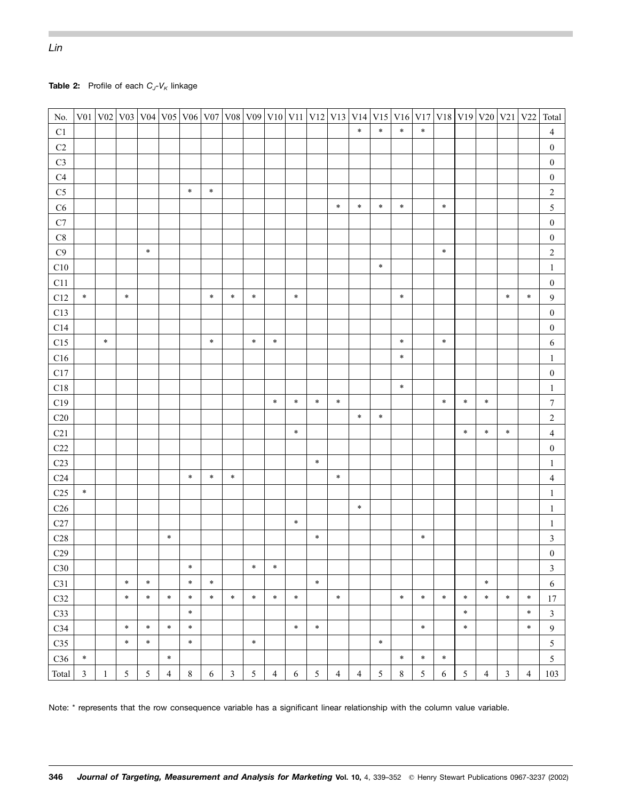| No.                        |                |              |        |            |                |         |            |                |                |                |        |                 |                | V01 V02 V03 V04 V05 V06 V07 V08 V09 V10 V11 V12 V13 V14 | V15 V16    |         |                |            |                | V <sub>17</sub> V <sub>18</sub> V <sub>19</sub> V <sub>20</sub> V <sub>21</sub> V <sub>22</sub> |                |                | Total            |
|----------------------------|----------------|--------------|--------|------------|----------------|---------|------------|----------------|----------------|----------------|--------|-----------------|----------------|---------------------------------------------------------|------------|---------|----------------|------------|----------------|-------------------------------------------------------------------------------------------------|----------------|----------------|------------------|
| $\mathop{\rm C}\nolimits1$ |                |              |        |            |                |         |            |                |                |                |        |                 |                | $\ast$                                                  | $\ast$     | $\ast$  | $\ast$         |            |                |                                                                                                 |                |                | $\overline{4}$   |
| $\rm C2$                   |                |              |        |            |                |         |            |                |                |                |        |                 |                |                                                         |            |         |                |            |                |                                                                                                 |                |                | $\boldsymbol{0}$ |
| $\rm{C3}$                  |                |              |        |            |                |         |            |                |                |                |        |                 |                |                                                         |            |         |                |            |                |                                                                                                 |                |                | $\boldsymbol{0}$ |
| C4                         |                |              |        |            |                |         |            |                |                |                |        |                 |                |                                                         |            |         |                |            |                |                                                                                                 |                |                | $\boldsymbol{0}$ |
| $\rm{C}5$                  |                |              |        |            |                | $\ast$  | $\ast$     |                |                |                |        |                 |                |                                                         |            |         |                |            |                |                                                                                                 |                |                | $\sqrt{2}$       |
| C6                         |                |              |        |            |                |         |            |                |                |                |        |                 | $\ast$         | $\ast$                                                  | $\ast$     | $\ast$  |                | $\ast$     |                |                                                                                                 |                |                | $\sqrt{5}$       |
| $\mathbf{C}7$              |                |              |        |            |                |         |            |                |                |                |        |                 |                |                                                         |            |         |                |            |                |                                                                                                 |                |                | $\boldsymbol{0}$ |
| $\mbox{C}8$                |                |              |        |            |                |         |            |                |                |                |        |                 |                |                                                         |            |         |                |            |                |                                                                                                 |                |                | $\boldsymbol{0}$ |
| C9                         |                |              |        | $\ast$     |                |         |            |                |                |                |        |                 |                |                                                         |            |         |                | $\ast$     |                |                                                                                                 |                |                | $\sqrt{2}$       |
| C10                        |                |              |        |            |                |         |            |                |                |                |        |                 |                |                                                         | $\ast$     |         |                |            |                |                                                                                                 |                |                | $\mathbf{1}$     |
| C11                        |                |              |        |            |                |         |            |                |                |                |        |                 |                |                                                         |            |         |                |            |                |                                                                                                 |                |                | $\boldsymbol{0}$ |
| C12                        | $\ast$         |              | $\ast$ |            |                |         | $\ast$     | $\ast$         | $\ast$         |                | $\ast$ |                 |                |                                                         |            | $\ast$  |                |            |                |                                                                                                 | $\ast$         | $\ast$         | $\overline{9}$   |
| C13                        |                |              |        |            |                |         |            |                |                |                |        |                 |                |                                                         |            |         |                |            |                |                                                                                                 |                |                | $\boldsymbol{0}$ |
| $\rm C14$                  |                |              |        |            |                |         |            |                |                |                |        |                 |                |                                                         |            |         |                |            |                |                                                                                                 |                |                | $\boldsymbol{0}$ |
| C15                        |                | $\ast$       |        |            |                |         | $\ast$     |                | $\ast$         | $\ast$         |        |                 |                |                                                         |            | $\ast$  |                | $\ast$     |                |                                                                                                 |                |                | $\sqrt{6}$       |
| ${\rm C}16$                |                |              |        |            |                |         |            |                |                |                |        |                 |                |                                                         |            | $\ast$  |                |            |                |                                                                                                 |                |                | $\mathbf{1}$     |
| C17                        |                |              |        |            |                |         |            |                |                |                |        |                 |                |                                                         |            |         |                |            |                |                                                                                                 |                |                | $\boldsymbol{0}$ |
| C18                        |                |              |        |            |                |         |            |                |                |                |        |                 |                |                                                         |            | $\ast$  |                |            |                |                                                                                                 |                |                | $\mathbf{1}$     |
| C19                        |                |              |        |            |                |         |            |                |                | $\ast$         | $\ast$ | $\ast$          | $\ast$         |                                                         |            |         |                | $\ast$     | $\ast$         | $\ast$                                                                                          |                |                | $\boldsymbol{7}$ |
| $\rm C20$                  |                |              |        |            |                |         |            |                |                |                |        |                 |                | $\ast$                                                  | $\ast$     |         |                |            |                |                                                                                                 |                |                | $\sqrt{2}$       |
| C21                        |                |              |        |            |                |         |            |                |                |                | $\ast$ |                 |                |                                                         |            |         |                |            | $\ast$         | $\ast$                                                                                          | $\ast$         |                | $\overline{4}$   |
| C22                        |                |              |        |            |                |         |            |                |                |                |        |                 |                |                                                         |            |         |                |            |                |                                                                                                 |                |                | $\boldsymbol{0}$ |
| C <sub>23</sub>            |                |              |        |            |                |         |            |                |                |                |        | $\ast$          |                |                                                         |            |         |                |            |                |                                                                                                 |                |                | $\mathbf{1}$     |
| C <sub>24</sub>            |                |              |        |            |                | $\ast$  | $\ast$     | $\ast$         |                |                |        |                 | $\ast$         |                                                         |            |         |                |            |                |                                                                                                 |                |                | $\overline{4}$   |
| C <sub>25</sub>            | $\ast$         |              |        |            |                |         |            |                |                |                |        |                 |                |                                                         |            |         |                |            |                |                                                                                                 |                |                | $\mathbf{1}$     |
| $\rm C26$                  |                |              |        |            |                |         |            |                |                |                |        |                 |                | $\ast$                                                  |            |         |                |            |                |                                                                                                 |                |                | $\mathbf{1}$     |
| $\rm C27$                  |                |              |        |            |                |         |            |                |                |                | $\ast$ |                 |                |                                                         |            |         |                |            |                |                                                                                                 |                |                | $\mathbf{1}$     |
| C28                        |                |              |        |            | $\ast$         |         |            |                |                |                |        | $\ast$          |                |                                                         |            |         | $\ast$         |            |                |                                                                                                 |                |                | $\mathfrak{Z}$   |
| C29                        |                |              |        |            |                |         |            |                |                |                |        |                 |                |                                                         |            |         |                |            |                |                                                                                                 |                |                | $\boldsymbol{0}$ |
| C30                        |                |              |        |            |                | $\ast$  |            |                | $\ast$         | $\ast$         |        |                 |                |                                                         |            |         |                |            |                |                                                                                                 |                |                | $\mathfrak{Z}$   |
| C31                        |                |              | $\ast$ | $\ast$     |                | $\ast$  | $\ast$     |                |                |                |        | $\ast$          |                |                                                         |            |         |                |            |                | $\ast$                                                                                          |                |                | 6                |
| C32                        |                |              | $\ast$ | $\ast$     | $\ast$         | $\ast$  | $\ast$     | $\ast$         | $\ast$         | $\ast$         | $\ast$ |                 | $\ast$         |                                                         |            | $\ast$  | $\ast$         | $\ast$     | $\ast$         | $\ast$                                                                                          | $\ast$         | $\ast$         | 17               |
| C33                        |                |              |        |            |                | $\ast$  |            |                |                |                |        |                 |                |                                                         |            |         |                |            | $\ast$         |                                                                                                 |                | $\ast$         | $\mathfrak{Z}$   |
| C34                        |                |              | $\ast$ | $\ast$     | $\ast$         | $\ast$  |            |                |                |                | $\ast$ | $\ast$          |                |                                                         |            |         | $\ast$         |            | $\ast$         |                                                                                                 |                | $\ast$         | $\boldsymbol{9}$ |
| C35                        |                |              | $\ast$ | $\ast$     |                | $\ast$  |            |                | $\ast$         |                |        |                 |                |                                                         | $\ast$     |         |                |            |                |                                                                                                 |                |                | $\sqrt{5}$       |
| C36                        | $\ast$         |              |        |            | $\ast$         |         |            |                |                |                |        |                 |                |                                                         |            | $\ast$  | $\ast$         | $\ast$     |                |                                                                                                 |                |                | 5                |
| Total                      | $\mathfrak{Z}$ | $\mathbf{1}$ | 5      | $\sqrt{5}$ | $\overline{4}$ | $\,8\,$ | $\sqrt{6}$ | $\mathfrak{Z}$ | 5 <sup>5</sup> | $\overline{4}$ | 6      | $5\overline{)}$ | $\overline{4}$ | $\overline{4}$                                          | $\sqrt{5}$ | $\,8\,$ | $\mathfrak{S}$ | $\sqrt{6}$ | $\mathfrak{S}$ | $\overline{4}$                                                                                  | $\mathfrak{Z}$ | $\overline{4}$ | 103              |

## **Table 2:** Profile of each  $C_J$ - $V_K$  linkage

Note: \* represents that the row consequence variable has a significant linear relationship with the column value variable.

*Lin*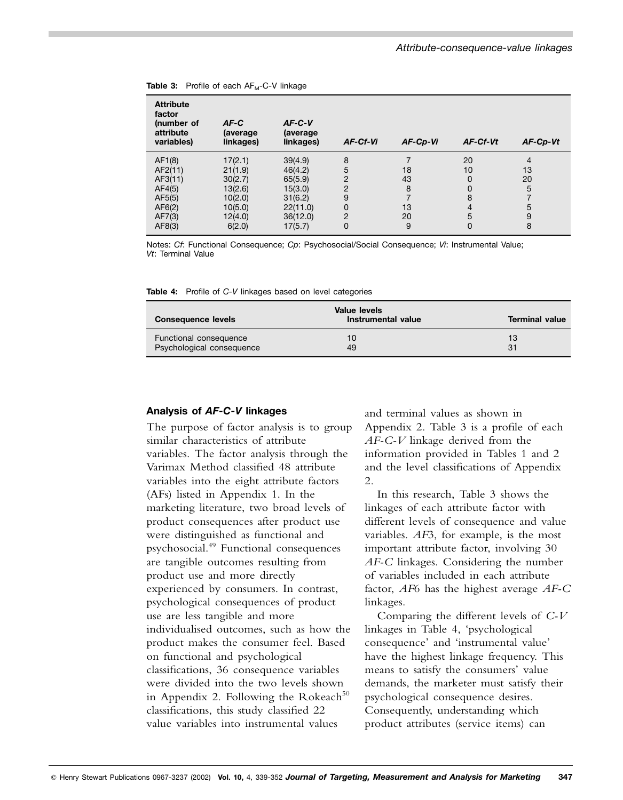| <b>Attribute</b><br>factor<br>(number of<br>attribute<br>variables)            | $AF-C$<br>(average<br>linkages)                                                     | $AF-C-V$<br>(average<br>linkages)                                                      | AF-Cf-Vi                                                                              | AF-Cp-Vi                       | AF-Cf-Vt                                                    | AF-Cp-Vt                                       |
|--------------------------------------------------------------------------------|-------------------------------------------------------------------------------------|----------------------------------------------------------------------------------------|---------------------------------------------------------------------------------------|--------------------------------|-------------------------------------------------------------|------------------------------------------------|
| AF1(8)<br>AF2(11)<br>AF3(11)<br>AF4(5)<br>AF5(5)<br>AF6(2)<br>AF7(3)<br>AF8(3) | 17(2.1)<br>21(1.9)<br>30(2.7)<br>13(2.6)<br>10(2.0)<br>10(5.0)<br>12(4.0)<br>6(2.0) | 39(4.9)<br>46(4.2)<br>65(5.9)<br>15(3.0)<br>31(6.2)<br>22(11.0)<br>36(12.0)<br>17(5.7) | 8<br>5<br>$\overline{2}$<br>$\overline{2}$<br>9<br>$\mathbf 0$<br>$\overline{2}$<br>0 | 18<br>43<br>8<br>13<br>20<br>9 | 20<br>10<br>$\Omega$<br>$\Omega$<br>8<br>4<br>5<br>$\Omega$ | $\overline{4}$<br>13<br>20<br>5<br>5<br>9<br>8 |

Table 3: Profile of each AF<sub>M</sub>-C-V linkage

Notes: *Cf*: Functional Consequence; *Cp*: Psychosocial/Social Consequence; *Vi*: Instrumental Value; *Vt*: Terminal Value

**Table 4:** Profile of *C-V* linkages based on level categories

| <b>Consequence levels</b> | Value levels<br>Instrumental value | <b>Terminal value</b> |
|---------------------------|------------------------------------|-----------------------|
| Functional consequence    | 10                                 | 13                    |
| Psychological consequence | 49                                 | 31                    |

#### **Analysis of** *AF-C-V* **linkages**

The purpose of factor analysis is to group similar characteristics of attribute variables. The factor analysis through the Varimax Method classified 48 attribute variables into the eight attribute factors (AFs) listed in Appendix 1. In the marketing literature, two broad levels of product consequences after product use were distinguished as functional and psychosocial.<sup>49</sup> Functional consequences are tangible outcomes resulting from product use and more directly experienced by consumers. In contrast, psychological consequences of product use are less tangible and more individualised outcomes, such as how the product makes the consumer feel. Based on functional and psychological classifications, 36 consequence variables were divided into the two levels shown in Appendix 2. Following the Rokeach<sup>50</sup> classifications, this study classified 22 value variables into instrumental values

and terminal values as shown in Appendix 2. Table 3 is a profile of each *AF-C-V* linkage derived from the information provided in Tables 1 and 2 and the level classifications of Appendix 2.

In this research, Table 3 shows the linkages of each attribute factor with different levels of consequence and value variables. *AF*3, for example, is the most important attribute factor, involving 30 *AF-C* linkages. Considering the number of variables included in each attribute factor, *AF*6 has the highest average *AF-C* linkages.

Comparing the different levels of *C-V* linkages in Table 4, 'psychological consequence' and 'instrumental value' have the highest linkage frequency. This means to satisfy the consumers' value demands, the marketer must satisfy their psychological consequence desires. Consequently, understanding which product attributes (service items) can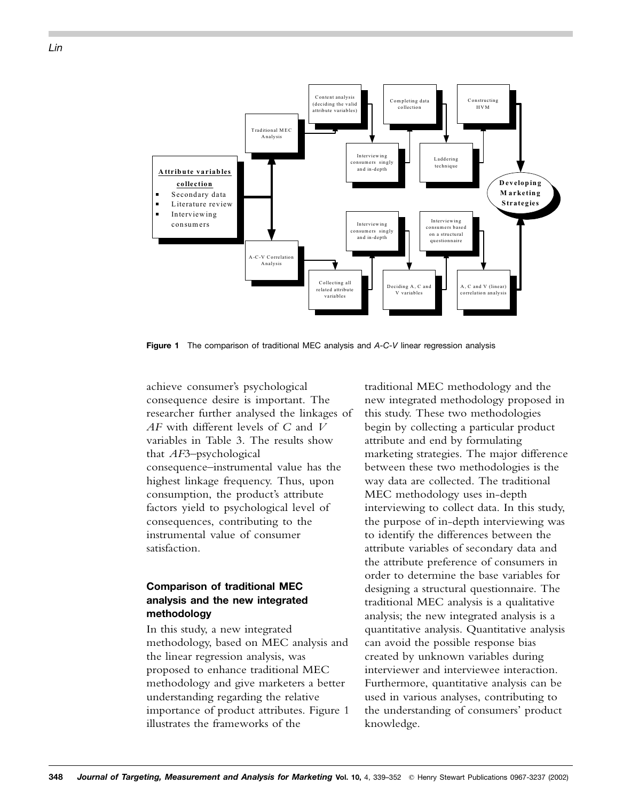

**Figure 1** The comparison of traditional MEC analysis and *A-C-V* linear regression analysis

achieve consumer's psychological consequence desire is important. The researcher further analysed the linkages of *AF* with different levels of *C* and *V* variables in Table 3. The results show that *AF*3–psychological consequence–instrumental value has the highest linkage frequency. Thus, upon consumption, the product's attribute factors yield to psychological level of consequences, contributing to the instrumental value of consumer satisfaction.

## **Comparison of traditional MEC analysis and the new integrated methodology**

In this study, a new integrated methodology, based on MEC analysis and the linear regression analysis, was proposed to enhance traditional MEC methodology and give marketers a better understanding regarding the relative importance of product attributes. Figure 1 illustrates the frameworks of the

traditional MEC methodology and the new integrated methodology proposed in this study. These two methodologies begin by collecting a particular product attribute and end by formulating marketing strategies. The major difference between these two methodologies is the way data are collected. The traditional MEC methodology uses in-depth interviewing to collect data. In this study, the purpose of in-depth interviewing was to identify the differences between the attribute variables of secondary data and the attribute preference of consumers in order to determine the base variables for designing a structural questionnaire. The traditional MEC analysis is a qualitative analysis; the new integrated analysis is a quantitative analysis. Quantitative analysis can avoid the possible response bias created by unknown variables during interviewer and interviewee interaction. Furthermore, quantitative analysis can be used in various analyses, contributing to the understanding of consumers' product knowledge.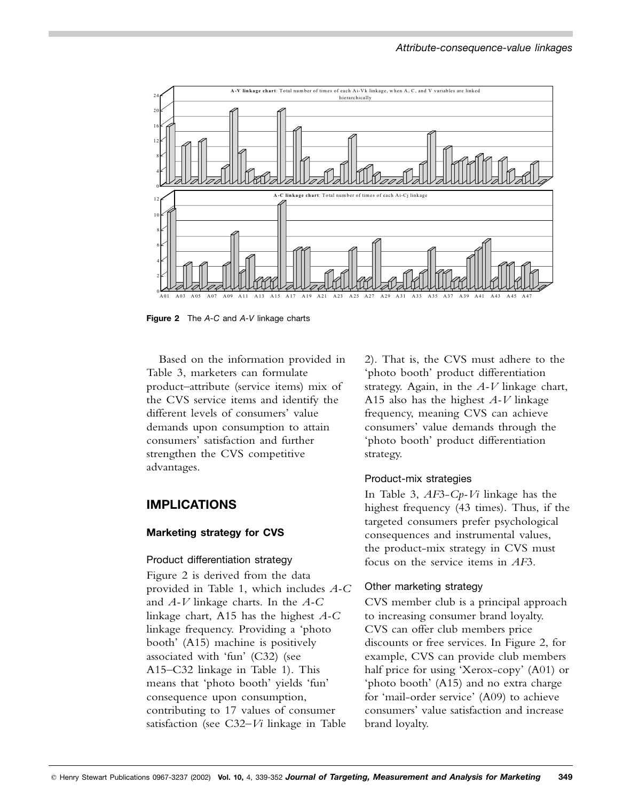

**Figure 2** The *A-C* and *A-V* linkage charts

Based on the information provided in Table 3, marketers can formulate product–attribute (service items) mix of the CVS service items and identify the different levels of consumers' value demands upon consumption to attain consumers' satisfaction and further strengthen the CVS competitive advantages.

# **IMPLICATIONS**

## **Marketing strategy for CVS**

#### Product differentiation strategy

Figure 2 is derived from the data provided in Table 1, which includes *A-C* and *A-V* linkage charts. In the *A-C* linkage chart, A15 has the highest *A-C* linkage frequency. Providing a 'photo booth' (A15) machine is positively associated with 'fun' (C32) (see A15–C32 linkage in Table 1). This means that 'photo booth' yields 'fun' consequence upon consumption, contributing to 17 values of consumer satisfaction (see C32–*Vi* linkage in Table

2). That is, the CVS must adhere to the 'photo booth' product differentiation strategy. Again, in the *A-V* linkage chart, A15 also has the highest *A-V* linkage frequency, meaning CVS can achieve consumers' value demands through the 'photo booth' product differentiation strategy.

## Product-mix strategies

In Table 3, *AF*3-*Cp-Vi* linkage has the highest frequency (43 times). Thus, if the targeted consumers prefer psychological consequences and instrumental values, the product-mix strategy in CVS must focus on the service items in *AF*3.

## Other marketing strategy

CVS member club is a principal approach to increasing consumer brand loyalty. CVS can offer club members price discounts or free services. In Figure 2, for example, CVS can provide club members half price for using 'Xerox-copy' (A01) or 'photo booth' (A15) and no extra charge for 'mail-order service' (A09) to achieve consumers' value satisfaction and increase brand loyalty.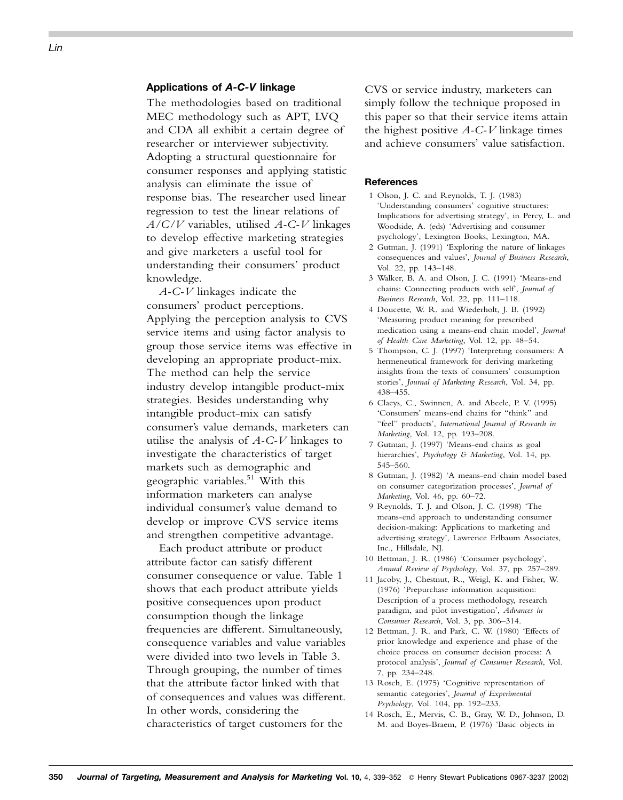## **Applications of** *A-C-V* **linkage**

The methodologies based on traditional MEC methodology such as APT, LVQ and CDA all exhibit a certain degree of researcher or interviewer subjectivity. Adopting a structural questionnaire for consumer responses and applying statistic analysis can eliminate the issue of response bias. The researcher used linear regression to test the linear relations of *A/C/V* variables, utilised *A-C-V* linkages to develop effective marketing strategies and give marketers a useful tool for understanding their consumers' product knowledge.

*A-C-V* linkages indicate the consumers' product perceptions. Applying the perception analysis to CVS service items and using factor analysis to group those service items was effective in developing an appropriate product-mix. The method can help the service industry develop intangible product-mix strategies. Besides understanding why intangible product-mix can satisfy consumer's value demands, marketers can utilise the analysis of *A-C-V* linkages to investigate the characteristics of target markets such as demographic and geographic variables.<sup>51</sup> With this information marketers can analyse individual consumer's value demand to develop or improve CVS service items and strengthen competitive advantage.

Each product attribute or product attribute factor can satisfy different consumer consequence or value. Table 1 shows that each product attribute yields positive consequences upon product consumption though the linkage frequencies are different. Simultaneously, consequence variables and value variables were divided into two levels in Table 3. Through grouping, the number of times that the attribute factor linked with that of consequences and values was different. In other words, considering the characteristics of target customers for the

CVS or service industry, marketers can simply follow the technique proposed in this paper so that their service items attain the highest positive *A-C-V* linkage times and achieve consumers' value satisfaction.

#### **References**

- 1 Olson, J. C. and Reynolds, T. J. (1983) 'Understanding consumers' cognitive structures: Implications for advertising strategy', in Percy, L. and Woodside, A. (eds) 'Advertising and consumer psychology', Lexington Books, Lexington, MA.
- 2 Gutman, J. (1991) 'Exploring the nature of linkages consequences and values', *Journal of Business Research*, Vol. 22, pp. 143–148.
- 3 Walker, B. A. and Olson, J. C. (1991) 'Means-end chains: Connecting products with self', *Journal of Business Research*, Vol. 22, pp. 111–118.
- 4 Doucette, W. R. and Wiederholt, J. B. (1992) 'Measuring product meaning for prescribed medication using a means-end chain model', *Journal of Health Care Marketing*, Vol. 12, pp. 48–54.
- 5 Thompson, C. J. (1997) 'Interpreting consumers: A hermeneutical framework for deriving marketing insights from the texts of consumers' consumption stories', *Journal of Marketing Research*, Vol. 34, pp. 438–455.
- 6 Claeys, C., Swinnen, A. and Abeele, P. V. (1995) 'Consumers' means-end chains for ''think'' and ''feel'' products', *International Journal of Research in Marketing*, Vol. 12, pp. 193–208.
- 7 Gutman, J. (1997) 'Means-end chains as goal hierarchies', *Psychology & Marketing*, Vol. 14, pp. 545–560.
- 8 Gutman, J. (1982) 'A means-end chain model based on consumer categorization processes', *Journal of Marketing*, Vol. 46, pp. 60–72.
- 9 Reynolds, T. J. and Olson, J. C. (1998) 'The means-end approach to understanding consumer decision-making: Applications to marketing and advertising strategy', Lawrence Erlbaum Associates, Inc., Hillsdale, NJ.
- 10 Bettman, J. R. (1986) 'Consumer psychology', *Annual Review of Psychology*, Vol. 37, pp. 257–289.
- 11 Jacoby, J., Chestnut, R., Weigl, K. and Fisher, W. (1976) 'Prepurchase information acquisition: Description of a process methodology, research paradigm, and pilot investigation', *Advances in Consumer Research*, Vol. 3, pp. 306–314.
- 12 Bettman, J. R. and Park, C. W. (1980) 'Effects of prior knowledge and experience and phase of the choice process on consumer decision process: A protocol analysis', *Journal of Consumer Research*, Vol. 7, pp. 234–248.
- 13 Rosch, E. (1975) 'Cognitive representation of semantic categories', *Journal of Experimental Psychology*, Vol. 104, pp. 192–233.
- 14 Rosch, E., Mervis, C. B., Gray, W. D., Johnson, D. M. and Boyes-Braem, P. (1976) 'Basic objects in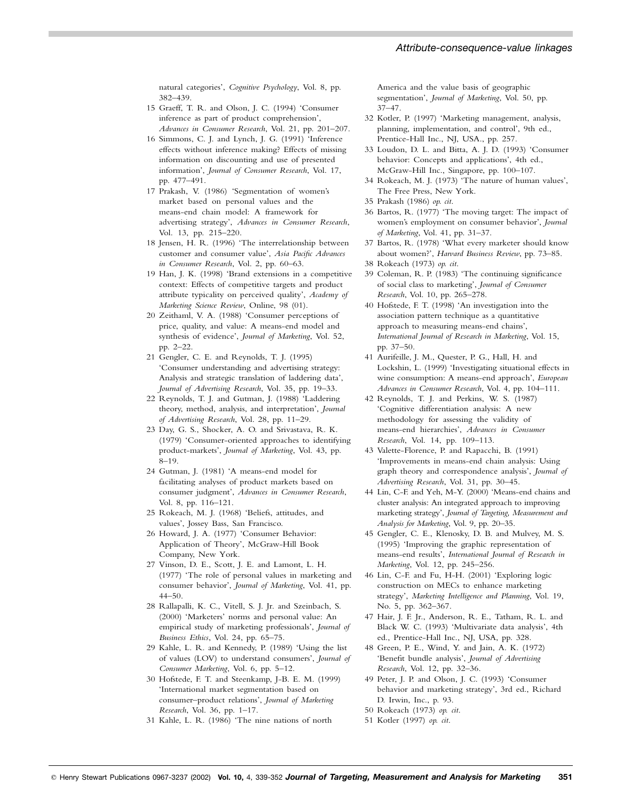natural categories', *Cognitive Psychology*, Vol. 8, pp. 382–439.

- 15 Graeff, T. R. and Olson, J. C. (1994) 'Consumer inference as part of product comprehension', *Advances in Consumer Research*, Vol. 21, pp. 201–207.
- 16 Simmons, C. J. and Lynch, J. G. (1991) 'Inference effects without inference making? Effects of missing information on discounting and use of presented information', *Journal of Consumer Research*, Vol. 17, pp. 477–491.
- 17 Prakash, V. (1986) 'Segmentation of women's market based on personal values and the means-end chain model: A framework for advertising strategy', *Advances in Consumer Research*, Vol. 13, pp. 215–220.
- 18 Jensen, H. R. (1996) 'The interrelationship between customer and consumer value', *Asia Pacific Advances in Consumer Research*, Vol. 2, pp. 60–63.
- 19 Han, J. K. (1998) 'Brand extensions in a competitive context: Effects of competitive targets and product attribute typicality on perceived quality', *Academy of Marketing Science Review*, Online, 98 (01).
- 20 Zeithaml, V. A. (1988) 'Consumer perceptions of price, quality, and value: A means-end model and synthesis of evidence', *Journal of Marketing*, Vol. 52, pp. 2–22.
- 21 Gengler, C. E. and Reynolds, T. J. (1995) 'Consumer understanding and advertising strategy: Analysis and strategic translation of laddering data', *Journal of Advertising Research*, Vol. 35, pp. 19–33.
- 22 Reynolds, T. J. and Gutman, J. (1988) 'Laddering theory, method, analysis, and interpretation', *Journal of Advertising Research*, Vol. 28, pp. 11–29.
- 23 Day, G. S., Shocker, A. O. and Srivastava, R. K. (1979) 'Consumer-oriented approaches to identifying product-markets', *Journal of Marketing*, Vol. 43, pp. 8–19.
- 24 Gutman, J. (1981) 'A means-end model for facilitating analyses of product markets based on consumer judgment', *Advances in Consumer Research*, Vol. 8, pp. 116–121.
- 25 Rokeach, M. J. (1968) 'Beliefs, attitudes, and values', Jossey Bass, San Francisco.
- 26 Howard, J. A. (1977) 'Consumer Behavior: Application of Theory', McGraw-Hill Book Company, New York.
- 27 Vinson, D. E., Scott, J. E. and Lamont, L. H. (1977) 'The role of personal values in marketing and consumer behavior', *Journal of Marketing*, Vol. 41, pp. 44–50.
- 28 Rallapalli, K. C., Vitell, S. J. Jr. and Szeinbach, S. (2000) 'Marketers' norms and personal value: An empirical study of marketing professionals', *Journal of Business Ethics*, Vol. 24, pp. 65–75.
- 29 Kahle, L. R. and Kennedy, P. (1989) 'Using the list of values (LOV) to understand consumers', *Journal of Consumer Marketing*, Vol. 6, pp. 5–12.
- 30 Hofstede, F. T. and Steenkamp, J-B. E. M. (1999) 'International market segmentation based on consumer–product relations', *Journal of Marketing Research*, Vol. 36, pp. 1–17.
- 31 Kahle, L. R. (1986) 'The nine nations of north

America and the value basis of geographic segmentation', *Journal of Marketing*, Vol. 50, pp. 37–47.

- 32 Kotler, P. (1997) 'Marketing management, analysis, planning, implementation, and control', 9th ed., Prentice-Hall Inc., NJ, USA., pp. 257.
- 33 Loudon, D. L. and Bitta, A. J. D. (1993) 'Consumer behavior: Concepts and applications', 4th ed., McGraw-Hill Inc., Singapore, pp. 100–107.
- 34 Rokeach, M. J. (1973) 'The nature of human values', The Free Press, New York.
- 35 Prakash (1986) *op. cit*.
- 36 Bartos, R. (1977) 'The moving target: The impact of women's employment on consumer behavior', *Journal of Marketing*, Vol. 41, pp. 31–37.
- 37 Bartos, R. (1978) 'What every marketer should know about women?', *Harvard Business Review*, pp. 73–85.
- 38 Rokeach (1973) *op. cit*.
- 39 Coleman, R. P. (1983) 'The continuing significance of social class to marketing', *Journal of Consumer Research*, Vol. 10, pp. 265–278.
- 40 Hofstede, F. T. (1998) 'An investigation into the association pattern technique as a quantitative approach to measuring means-end chains', *International Journal of Research in Marketing*, Vol. 15, pp. 37–50.
- 41 Aurifeille, J. M., Quester, P. G., Hall, H. and Lockshin, L. (1999) 'Investigating situational effects in wine consumption: A means-end approach', *European Advances in Consumer Research*, Vol. 4, pp. 104–111.
- 42 Reynolds, T. J. and Perkins, W. S. (1987) 'Cognitive differentiation analysis: A new methodology for assessing the validity of means-end hierarchies', *Advances in Consumer Research*, Vol. 14, pp. 109–113.
- 43 Valette-Florence, P. and Rapacchi, B. (1991) 'Improvements in means-end chain analysis: Using graph theory and correspondence analysis', *Journal of Advertising Research*, Vol. 31, pp. 30–45.
- 44 Lin, C-F. and Yeh, M-Y. (2000) 'Means-end chains and cluster analysis: An integrated approach to improving marketing strategy', *Journal of Targeting, Measurement and Analysis for Marketing*, Vol. 9, pp. 20–35.
- 45 Gengler, C. E., Klenosky, D. B. and Mulvey, M. S. (1995) 'Improving the graphic representation of means-end results', *International Journal of Research in Marketing*, Vol. 12, pp. 245–256.
- 46 Lin, C-F. and Fu, H-H. (2001) 'Exploring logic construction on MECs to enhance marketing strategy', *Marketing Intelligence and Planning*, Vol. 19, No. 5, pp. 362–367.
- 47 Hair, J. F. Jr., Anderson, R. E., Tatham, R. L. and Black W. C. (1993) 'Multivariate data analysis', 4th ed., Prentice-Hall Inc., NJ, USA, pp. 328.
- 48 Green, P. E., Wind, Y. and Jain, A. K. (1972) 'Benefit bundle analysis', *Journal of Advertising Research*, Vol. 12, pp. 32–36.
- 49 Peter, J. P. and Olson, J. C. (1993) 'Consumer behavior and marketing strategy', 3rd ed., Richard D. Irwin, Inc., p. 93.
- 50 Rokeach (1973) *op. cit*.
- 51 Kotler (1997) *op. cit*.